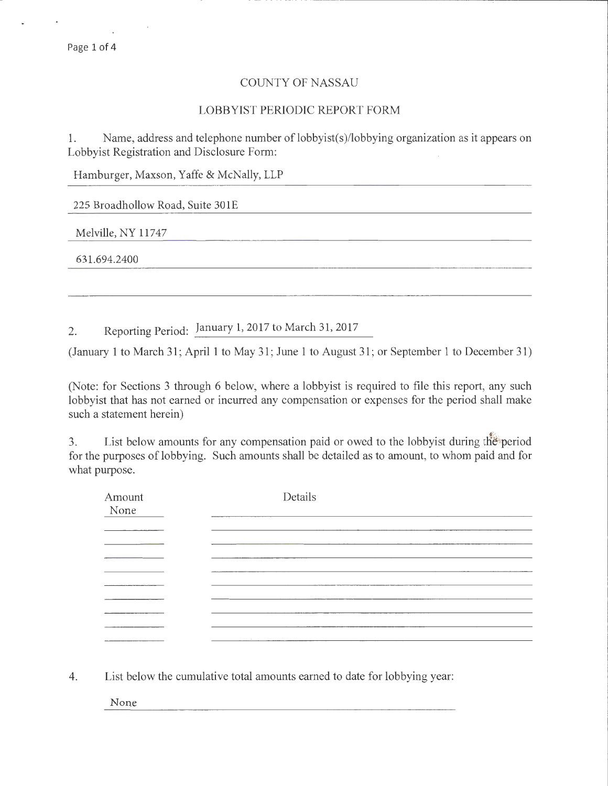## COUNTY OF NASSAU

-- ----------------------;---------

## LOBBYIST PERIODIC REPORT FORM

1. Name, address and telephone number of lobbyist(s)/lobbying organization as it appears on Lobbyist Registration and Disclosure Form:

Hamburger, Maxson, Yaffe & McNally, LLP

225 Broadhollow Road, Suite 301E

Melville, NY 11747

631.694.2400

2. Reporting Period: January 1, 2017 to March 31,2017

(January 1 to March 31; April 1 to May 31; June 1 to August 31; or September 1 to December 31)

(Note: for Sections 3 through 6 below, where a lobbyist is required to file this report, any such lobbyist that has not earned or incurred any compensation or expenses for the period shall make such a statement herein)

3. List below amounts for any compensation paid or owed to the lobbyist during the period for the purposes of lobbying. Such amounts shall be detailed as to amount, to whom paid and for what purpose.

| Amount<br>None                         | Details         |  |
|----------------------------------------|-----------------|--|
|                                        |                 |  |
|                                        |                 |  |
|                                        |                 |  |
|                                        |                 |  |
| <b>Contractor Company's Contractor</b> |                 |  |
|                                        |                 |  |
|                                        |                 |  |
|                                        |                 |  |
|                                        | <b>Contract</b> |  |
|                                        |                 |  |

4. List below the cumulative total amounts earned to date for lobbying year:

None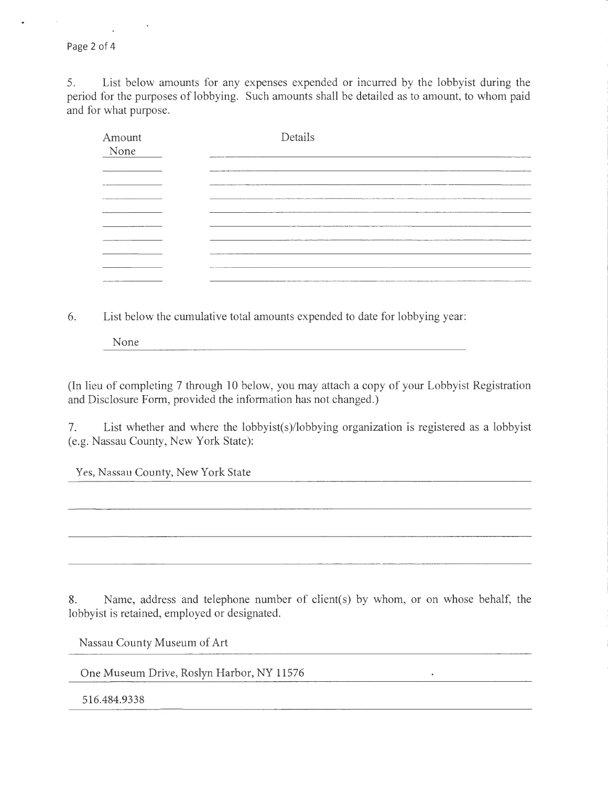Page 2 of 4

5. List below amounts for any expenses expended or incurred by the lobbyist during the period for the purposes of lobbying. Such amounts shall be detailed as to amount, to whom paid and for what purpose.

| Amount<br>None    | Details                                                                                               |
|-------------------|-------------------------------------------------------------------------------------------------------|
|                   |                                                                                                       |
|                   |                                                                                                       |
|                   |                                                                                                       |
|                   | <b>NOW CONTINUES IN THE REAL PROPERTY.</b><br>THE CARD CARD CARD CARD IN CONTRACT CARD CARD CARD CARD |
|                   |                                                                                                       |
| <b>STATISTICS</b> |                                                                                                       |
|                   |                                                                                                       |
|                   | <b>William Adams Avenue</b>                                                                           |
|                   |                                                                                                       |

6. List below the cumulative total amounts expended to date for lobbying year:

None

(In lieu of completing 7 through 10 below, you may attach a copy of your Lobbyist Registration and Disclosure Form, provided the information has not changed.)

7. List whether and where the lobbyist(s)/lobbying organization is registered as a lobbyist (e.g. Nassau County, New York State):

Yes, Nassau County, New York State

8. Name, address and telephone number of client(s) by whom, or on whose behalf, the lobbyist is retained, employed or designated.

 $\star$ 

Nassau County Museum of Art

One Museum Drive, Roslyn Harbor, NY 11576

516.484.9338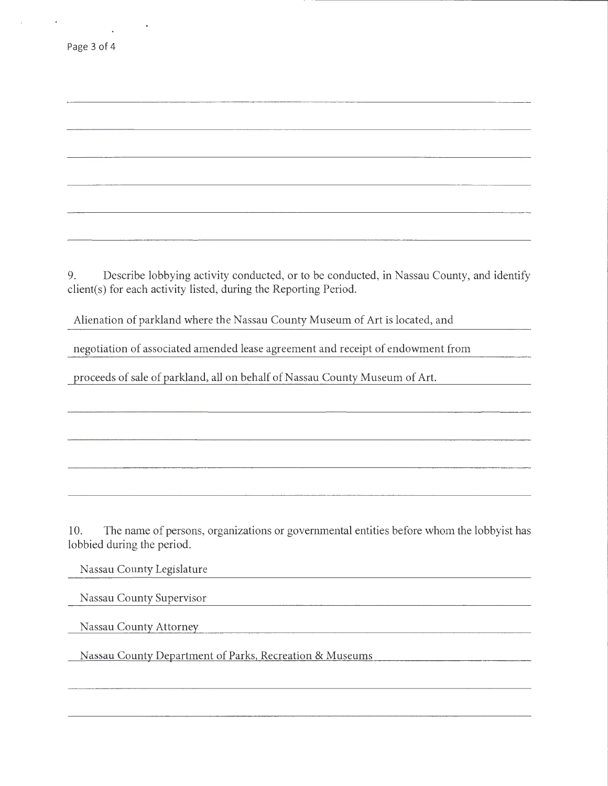9. Describe lobbying activity conducted, or to be conducted, in Nassau County, and identify client(s) for each activity listed, during the Reporting Period.

Alienation of parkland where the Nassau County Museum of Art is located, and

negotiation of associated amended lease agreement and receipt of endowment from

proceeds of sale of parkland, all on behalf of Nassau County Museum of Art.

10. The name of persons, organizations or governmental entities before whom the lobbyist has lobbied during the period.

Nassau County Legislature

Nassau County Supervisor

Nassau County Attorney

Nassau County Department of Parks, Recreation & Museums